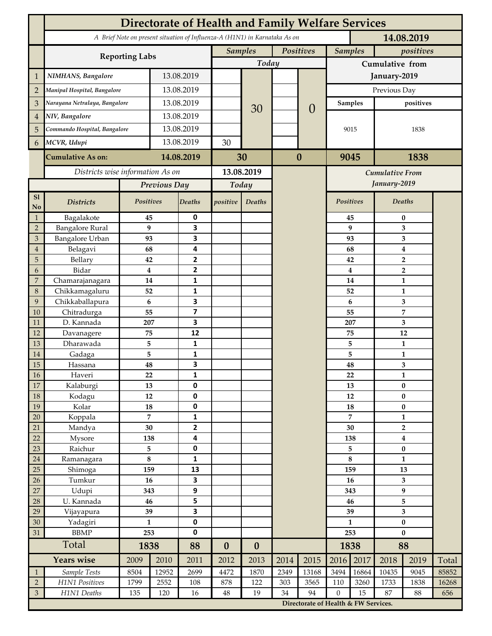|                                  | <b>Directorate of Health and Family Welfare Services</b>                                 |                    |                |                              |                  |                             |          |                                      |                             |                         |                                |              |       |  |
|----------------------------------|------------------------------------------------------------------------------------------|--------------------|----------------|------------------------------|------------------|-----------------------------|----------|--------------------------------------|-----------------------------|-------------------------|--------------------------------|--------------|-------|--|
|                                  | A Brief Note on present situation of Influenza-A (H1N1) in Karnataka As on<br>14.08.2019 |                    |                |                              |                  |                             |          |                                      |                             |                         |                                |              |       |  |
|                                  |                                                                                          |                    |                |                              |                  | <b>Samples</b><br>Positives |          |                                      | <b>Samples</b><br>positives |                         |                                |              |       |  |
|                                  | <b>Reporting Labs</b>                                                                    |                    |                |                              | Today            |                             |          |                                      | Cumulative from             |                         |                                |              |       |  |
| $\mathbf 1$                      | NIMHANS, Bangalore                                                                       | 13.08.2019         |                |                              |                  |                             |          | January-2019                         |                             |                         |                                |              |       |  |
| $\overline{2}$                   | Manipal Hospital, Bangalore                                                              |                    |                | 13.08.2019                   |                  |                             |          | $\overline{0}$                       | Previous Day                |                         |                                |              |       |  |
| 3                                | Narayana Netralaya, Bangalore                                                            |                    |                | 13.08.2019                   |                  |                             |          |                                      |                             | <b>Samples</b>          | positives                      |              |       |  |
| $\overline{4}$                   | NIV, Bangalore                                                                           |                    |                | 13.08.2019                   |                  | 30                          |          |                                      |                             |                         |                                |              |       |  |
| 5                                | Commando Hospital, Bangalore                                                             |                    | 13.08.2019     |                              |                  |                             |          |                                      | 9015                        |                         | 1838                           |              |       |  |
| 6                                | MCVR, Udupi                                                                              |                    | 13.08.2019     |                              | 30               |                             |          |                                      |                             |                         |                                |              |       |  |
|                                  | <b>Cumulative As on:</b>                                                                 |                    | 14.08.2019     |                              |                  |                             | $\bf{0}$ |                                      | 9045                        |                         | 1838                           |              |       |  |
|                                  |                                                                                          |                    |                | 30                           |                  |                             |          |                                      |                             |                         |                                |              |       |  |
|                                  | Districts wise information As on                                                         |                    |                | 13.08.2019                   |                  |                             |          | Cumulative From<br>January-2019      |                             |                         |                                |              |       |  |
|                                  |                                                                                          |                    | Previous Day   |                              | Today            |                             |          |                                      |                             |                         |                                |              |       |  |
| S1<br><b>No</b>                  | <b>Districts</b>                                                                         | Positives          |                | Deaths                       | positive         | Deaths                      |          |                                      | Positives                   |                         |                                | Deaths       |       |  |
| $\mathbf{1}$                     | Bagalakote                                                                               | 45                 |                | 0                            |                  |                             |          |                                      |                             | 45                      | 0                              |              |       |  |
| $\overline{2}$                   | <b>Bangalore Rural</b>                                                                   | 9                  |                | $\overline{\mathbf{3}}$      |                  |                             |          |                                      |                             | 9                       | 3                              |              |       |  |
| $\mathfrak{Z}$<br>$\overline{4}$ | Bangalore Urban<br>Belagavi                                                              | 93<br>68           |                | 3<br>4                       |                  |                             |          |                                      |                             | 93<br>68                | 3<br>$\bf{4}$                  |              |       |  |
| 5                                | Bellary                                                                                  | 42                 |                | $\overline{2}$               |                  |                             |          |                                      |                             | 42                      | $\overline{2}$                 |              |       |  |
| 6                                | Bidar                                                                                    |                    | 4              | $\mathbf{2}$                 |                  |                             |          |                                      |                             | $\overline{\mathbf{4}}$ | $\overline{2}$                 |              |       |  |
| $\boldsymbol{7}$                 | Chamarajanagara                                                                          | 14                 |                | 1                            |                  |                             |          |                                      | 14                          |                         | $\mathbf{1}$                   |              |       |  |
| $\,8\,$                          | Chikkamagaluru                                                                           | 52                 |                | 1                            |                  |                             |          |                                      |                             | 52                      |                                | 1            |       |  |
| 9                                | Chikkaballapura                                                                          | 6                  |                | 3                            |                  |                             |          |                                      |                             | 6                       |                                | 3            |       |  |
| 10                               | Chitradurga                                                                              | 55                 |                | $\overline{\mathbf{z}}$      |                  |                             |          |                                      |                             | 55                      |                                | 7            |       |  |
| 11<br>12                         | D. Kannada<br>Davanagere                                                                 | 207<br>75          |                | 3<br>12                      |                  |                             |          |                                      |                             | 207<br>75               | 3<br>12                        |              |       |  |
| 13                               | Dharawada                                                                                | 5                  |                | $\mathbf{1}$                 |                  |                             |          |                                      |                             | 5                       | $\mathbf{1}$                   |              |       |  |
| $14\,$                           | Gadaga                                                                                   | 5                  |                | 1                            |                  |                             |          |                                      |                             | 5                       | $\mathbf{1}$                   |              |       |  |
| 15                               | Hassana                                                                                  | 48                 |                | 3                            |                  |                             |          |                                      |                             | 48                      | 3                              |              |       |  |
| $16\,$                           | Haveri                                                                                   | 22                 |                | 1                            |                  |                             |          |                                      |                             | 22                      |                                | $\mathbf{1}$ |       |  |
| 17                               | Kalaburgi                                                                                | 13                 |                | $\mathbf 0$                  |                  |                             |          |                                      |                             | 13                      | $\bf{0}$                       |              |       |  |
| $18\,$                           | Kodagu                                                                                   | $12\,$             |                | $\pmb{0}$                    |                  |                             |          |                                      |                             | 12                      | $\pmb{0}$                      |              |       |  |
| 19                               | Kolar                                                                                    | 18                 |                | $\pmb{0}$<br>$\mathbf{1}$    |                  |                             |          |                                      | 18<br>7                     |                         | $\pmb{0}$                      |              |       |  |
| $20\,$<br>21                     | Koppala<br>Mandya                                                                        | 30                 | $\overline{7}$ | $\overline{2}$               |                  |                             |          |                                      | 30                          |                         | $\mathbf{1}$<br>$\overline{2}$ |              |       |  |
| 22                               | Mysore                                                                                   | 138                |                | $\overline{\mathbf{4}}$      |                  |                             |          |                                      | 138                         |                         | $\boldsymbol{4}$               |              |       |  |
| 23                               | Raichur                                                                                  | 5                  |                | $\pmb{0}$                    |                  |                             |          |                                      | 5                           |                         | $\pmb{0}$                      |              |       |  |
| $24\,$                           | Ramanagara                                                                               | $\bf 8$            |                | $\mathbf 1$                  |                  |                             |          |                                      | $\bf 8$                     |                         | $\mathbf{1}$                   |              |       |  |
| 25                               | Shimoga                                                                                  | 159                |                | 13                           |                  |                             |          |                                      |                             | 159                     |                                | 13           |       |  |
| 26                               | Tumkur                                                                                   | 16                 |                | 3                            |                  |                             |          |                                      | 16                          |                         | 3                              |              |       |  |
| $27\,$                           | Udupi                                                                                    | 343                |                | $\boldsymbol{9}$             |                  |                             |          |                                      | 343                         |                         | 9                              |              |       |  |
| 28                               | U. Kannada                                                                               | 46                 |                | 5<br>$\overline{\mathbf{3}}$ |                  |                             |          |                                      | 46                          |                         | 5                              |              |       |  |
| 29<br>$30\,$                     | Vijayapura<br>Yadagiri                                                                   | 39<br>$\mathbf{1}$ |                | $\pmb{0}$                    |                  |                             |          |                                      | 39<br>$\mathbf{1}$          |                         | 3<br>$\pmb{0}$                 |              |       |  |
| 31                               | <b>BBMP</b>                                                                              | 253                |                | $\pmb{0}$                    |                  |                             |          |                                      | 253                         |                         | $\bf{0}$                       |              |       |  |
|                                  | Total                                                                                    |                    | 1838           |                              | $\boldsymbol{0}$ | $\boldsymbol{0}$            |          |                                      | 1838                        |                         | 88                             |              |       |  |
|                                  | <b>Years wise</b>                                                                        | 2009               | 2010           | 88<br>2011                   | 2012             | 2013                        | 2014     | 2015                                 | 2016                        | 2017                    | 2018                           | 2019         | Total |  |
| $\mathbf{1}$                     | Sample Tests                                                                             | 8504               | 12952          | 2699                         | 4472             | 1870                        | 2349     | 13168                                | 3494                        | 16864                   | 10435                          | 9045         | 85852 |  |
| $\sqrt{2}$                       | H1N1 Positives                                                                           | 1799               | 2552           | 108                          | 878              | 122                         | 303      | 3565                                 | 110                         | 3260                    | 1733                           | 1838         | 16268 |  |
| $\mathfrak{Z}$                   | H1N1 Deaths                                                                              | 135                | 120            | 16                           | 48               | 19                          | 34       | 94                                   | $\mathbf{0}$                | 15                      | 87                             | 88           | 656   |  |
|                                  |                                                                                          |                    |                |                              |                  |                             |          | Directorate of Health & FW Services. |                             |                         |                                |              |       |  |